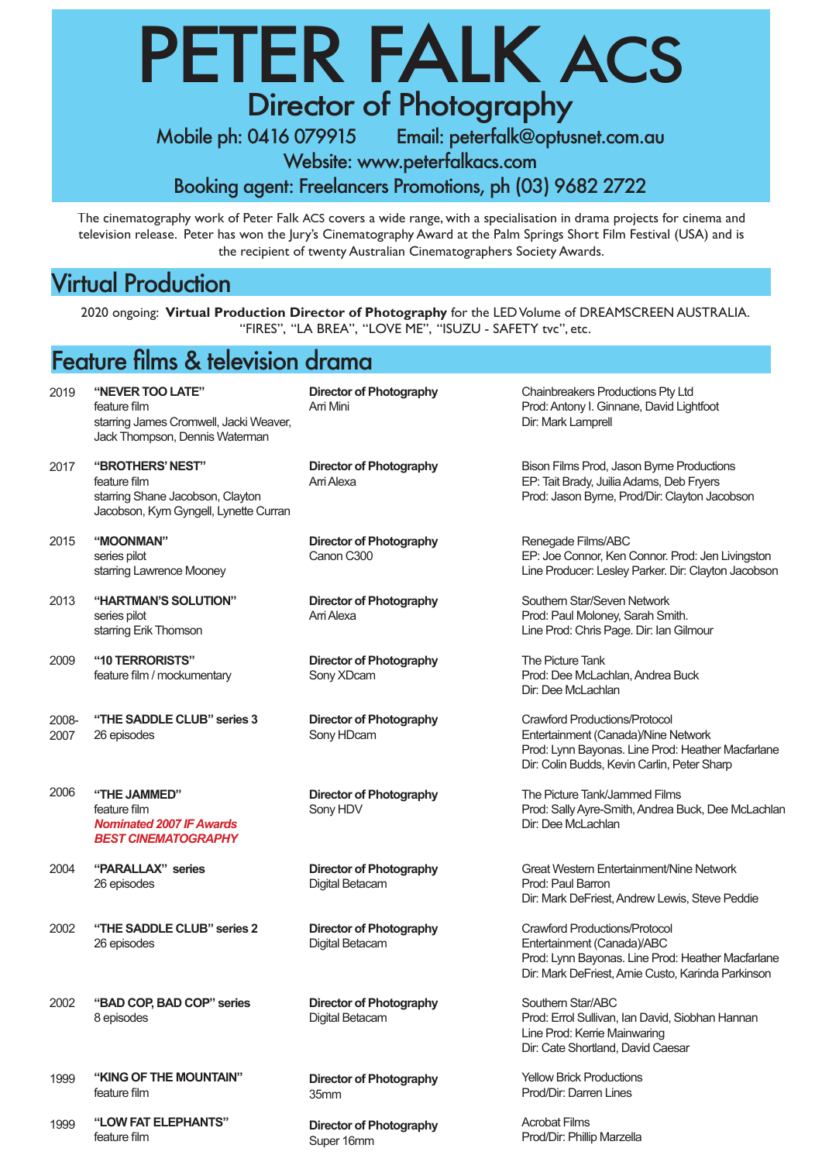## PETER FALK ACS Director of Photography

Mobile ph: 0416 079915 Email: peterfalk@optusnet.com.au

Website: www.peterfalkacs.com

Booking agent: Freelancers Promotions, ph (03) 9682 2722

The cinematography work of Peter Falk ACS covers a wide range, with a specialisation in drama projects for cinema and television release. Peter has won the Jury's Cinematography Award at the Palm Springs Short Film Festival (USA) and is the recipient of twenty Australian Cinematographers Society Awards.

### Virtual Production

1999

**"KING OF THE MOUNTAIN"**

**"LOW FAT ELEPHANTS"**

feature film

feature film

1999

2020 ongoing: **Virtual Production Director of Photography** for the LED Volume of DREAMSCREEN AUSTRALIA. "FIRES", "LA BREA", "LOVE ME", "ISUZU - SAFETY tvc", etc.

### Feature films & television drama

2019 2017 2015 2013 2009 2008- 2007 2006 2004 2002 2002 **"NEVER TOO LATE"** feature film starring James Cromwell, Jacki Weaver, Jack Thompson, Dennis Waterman **"BROTHERS' NEST"** feature film starring Shane Jacobson, Clayton Jacobson, Kym Gyngell, Lynette Curran **"MOONMAN"** series pilot starring Lawrence Mooney **"HARTMAN'S SOLUTION"** series pilot starring Erik Thomson **"10 TERRORISTS"** feature film / mockumentary **"THE SADDLE CLUB" series 3** 26 episodes **"THE JAMMED"**  feature film *Nominated 2007 IF Awards BEST CINEMATOGRAPHY* **"PARALLAX" series** 26 episodes **"THE SADDLE CLUB" series 2** 26 episodes **"BAD COP, BAD COP" series** 8 episodes **Director of Photography** Arri Mini **Director of Photography** Arri Alexa **Director of Photography** Canon C300 **Director of Photography** Arri Alexa **Director of Photography** Sony XDcam **Director of Photography** Sony HDcam **Director of Photography** Sony HDV **Director of Photography** Digital Betacam **Director of Photography** Digital Betacam **Director of Photography** Digital Betacam Chainbreakers Productions Pty Ltd Prod: Antony I. Ginnane, David Lightfoot Dir: Mark Lamprell Bison Films Prod, Jason Byrne Productions EP: Tait Brady, Juilia Adams, Deb Fryers Prod: Jason Byrne, Prod/Dir: Clayton Jacobson Renegade Films/ABC EP: Joe Connor, Ken Connor. Prod: Jen Livingston Line Producer: Lesley Parker. Dir: Clayton Jacobson Southern Star/Seven Network Prod: Paul Moloney, Sarah Smith. Line Prod: Chris Page. Dir: Ian Gilmour The Picture Tank Prod: Dee McLachlan, Andrea Buck Dir: Dee McLachlan Crawford Productions/Protocol Entertainment (Canada)/Nine Network Prod: Lynn Bayonas. Line Prod: Heather Macfarlane Dir: Colin Budds, Kevin Carlin, Peter Sharp The Picture Tank/Jammed Films Prod: Sally Ayre-Smith, Andrea Buck, Dee McLachlan Dir: Dee McLachlan Great Western Entertainment/Nine Network Prod: Paul Barron Dir: Mark DeFriest, Andrew Lewis, Steve Peddie Crawford Productions/Protocol Entertainment (Canada)/ABC Prod: Lynn Bayonas. Line Prod: Heather Macfarlane Dir: Mark DeFriest, Arnie Custo, Karinda Parkinson Southern Star/ABC Prod: Errol Sullivan, Ian David, Siobhan Hannan Line Prod: Kerrie Mainwaring Dir: Cate Shortland, David Caesar

> **Director of Photography** 35mm

> > **Director of Photography** Super 16mm

Prod/Dir: Darren Lines Acrobat Films Prod/Dir: Phillip Marzella

Yellow Brick Productions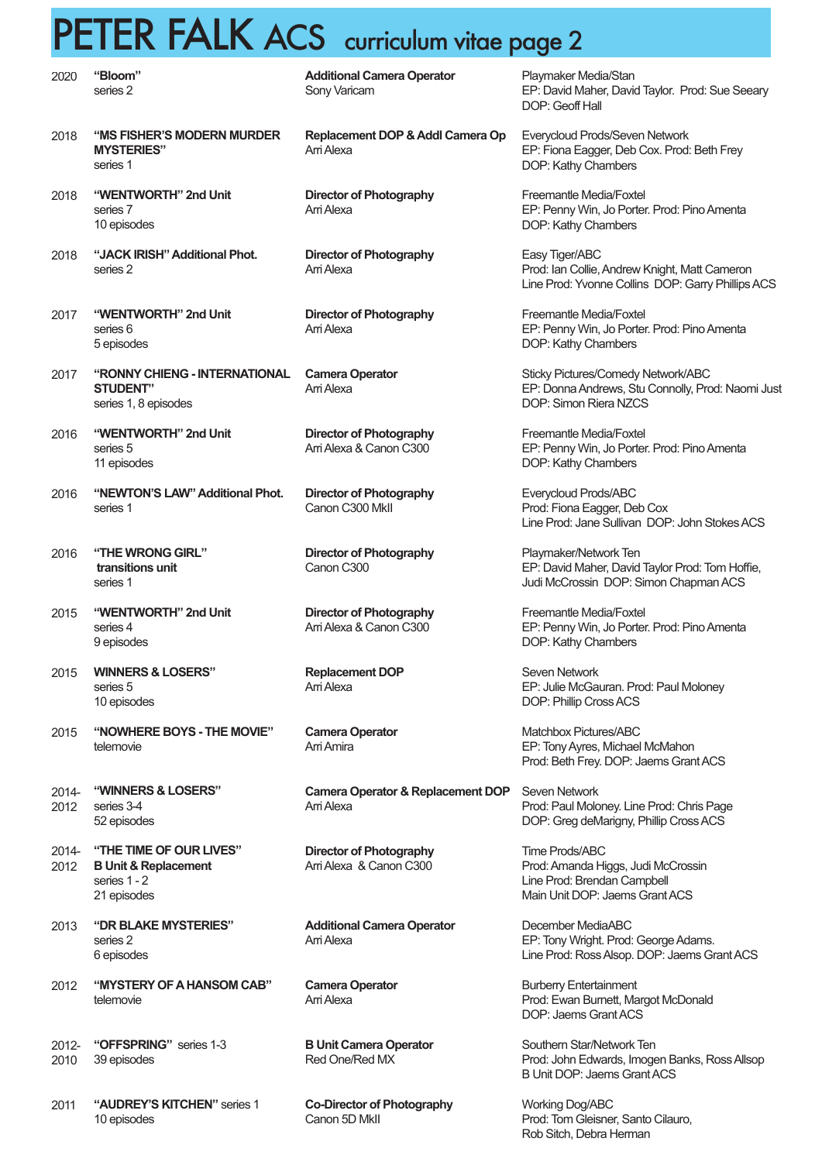## PETER FALK ACS curriculum vitae page 2

| 2020          | "Bloom"<br>series 2                                                                         | <b>Additional Camera Operator</b><br>Sony Varicam          |
|---------------|---------------------------------------------------------------------------------------------|------------------------------------------------------------|
| 2018          | "MS FISHER'S MODERN MURDER<br><b>MYSTERIES"</b><br>series 1                                 | Replacement DOP & Addl Camera Op<br>Arri Alexa             |
| 2018          | "WENTWORTH" 2nd Unit<br>series 7<br>10 episodes                                             | <b>Director of Photography</b><br>Arri Alexa               |
| 2018          | "JACK IRISH" Additional Phot.<br>series 2                                                   | <b>Director of Photography</b><br>Arri Alexa               |
| 2017          | "WENTWORTH" 2nd Unit<br>series 6<br>5 episodes                                              | <b>Director of Photography</b><br>Arri Alexa               |
| 2017          | "RONNY CHIENG - INTERNATIONAL<br><b>STUDENT"</b><br>series 1, 8 episodes                    | <b>Camera Operator</b><br>Arri Alexa                       |
| 2016          | "WENTWORTH" 2nd Unit<br>series 5<br>11 episodes                                             | <b>Director of Photography</b><br>Arri Alexa & Canon C300  |
| 2016          | "NEWTON'S LAW" Additional Phot.<br>series 1                                                 | <b>Director of Photography</b><br>Canon C300 Mkll          |
| 2016          | "THE WRONG GIRL"<br>transitions unit<br>series 1                                            | <b>Director of Photography</b><br>Canon C300               |
| 2015          | "WENTWORTH" 2nd Unit<br>series 4<br>9 episodes                                              | <b>Director of Photography</b><br>Arri Alexa & Canon C300  |
|               | 2015 WINNERS & LOSERS"<br>series 5<br>10 episodes                                           | <b>Replacement DOP</b><br>Arri Alexa                       |
| 2015          | "NOWHERE BOYS - THE MOVIE"<br>telemovie                                                     | <b>Camera Operator</b><br>Arri Amira                       |
| 2014-<br>2012 | "WINNERS & LOSERS"<br>series 3-4<br>52 episodes                                             | <b>Camera Operator &amp; Replacement DOP</b><br>Arri Alexa |
| 2014-<br>2012 | "THE TIME OF OUR LIVES"<br><b>B Unit &amp; Replacement</b><br>series $1 - 2$<br>21 episodes | <b>Director of Photography</b><br>Arri Alexa & Canon C300  |
| 2013          | "DR BLAKE MYSTERIES"<br>series 2<br>6 episodes                                              | <b>Additional Camera Operator</b><br>Arri Alexa            |
| 2012          | "MYSTERY OF A HANSOM CAB"<br>telemovie                                                      | <b>Camera Operator</b><br>Arri Alexa                       |
| 2012-<br>2010 | "OFFSPRING" series 1-3<br>39 episodes                                                       | <b>B Unit Camera Operator</b><br>Red One/Red MX            |
| 2011          | "AUDREY'S KITCHEN" series 1                                                                 | <b>Co-Director of Photography</b>                          |

10 episodes

**Co-Director of Photography** Canon 5D MkII

Playmaker Media/Stan EP: David Maher, David Taylor. Prod: Sue Seeary DOP: Geoff Hall

Everycloud Prods/Seven Network EP: Fiona Eagger, Deb Cox. Prod: Beth Frey DOP: Kathy Chambers

Freemantle Media/Foxtel EP: Penny Win, Jo Porter. Prod: Pino Amenta DOP: Kathy Chambers

Easy Tiger/ABC Prod: Ian Collie, Andrew Knight, Matt Cameron Line Prod: Yvonne Collins DOP: Garry Phillips ACS

Freemantle Media/Foxtel EP: Penny Win, Jo Porter. Prod: Pino Amenta DOP: Kathy Chambers

Sticky Pictures/Comedy Network/ABC EP: Donna Andrews, Stu Connolly, Prod: Naomi Just DOP: Simon Riera NZCS

Freemantle Media/Foxtel EP: Penny Win, Jo Porter. Prod: Pino Amenta DOP: Kathy Chambers

Everycloud Prods/ABC Prod: Fiona Eagger, Deb Cox Line Prod: Jane Sullivan DOP: John Stokes ACS

Playmaker/Network Ten EP: David Maher, David Taylor Prod: Tom Hoffie, Judi McCrossin DOP: Simon Chapman ACS

Freemantle Media/Foxtel EP: Penny Win, Jo Porter. Prod: Pino Amenta DOP: Kathy Chambers

Seven Network EP: Julie McGauran. Prod: Paul Moloney DOP: Phillip Cross ACS

Matchbox Pictures/ABC EP: Tony Ayres, Michael McMahon Prod: Beth Frey. DOP: Jaems Grant ACS

Seven Network Prod: Paul Moloney. Line Prod: Chris Page DOP: Greg deMarigny, Phillip Cross ACS

Time Prods/ABC Prod: Amanda Higgs, Judi McCrossin Line Prod: Brendan Campbell Main Unit DOP: Jaems Grant ACS

December MediaABC EP: Tony Wright. Prod: George Adams. Line Prod: Ross Alsop. DOP: Jaems Grant ACS

Burberry Entertainment Prod: Ewan Burnett, Margot McDonald DOP: Jaems Grant ACS

Southern Star/Network Ten Prod: John Edwards, Imogen Banks, Ross Allsop B Unit DOP: Jaems Grant ACS

Working Dog/ABC Prod: Tom Gleisner, Santo Cilauro, Rob Sitch, Debra Herman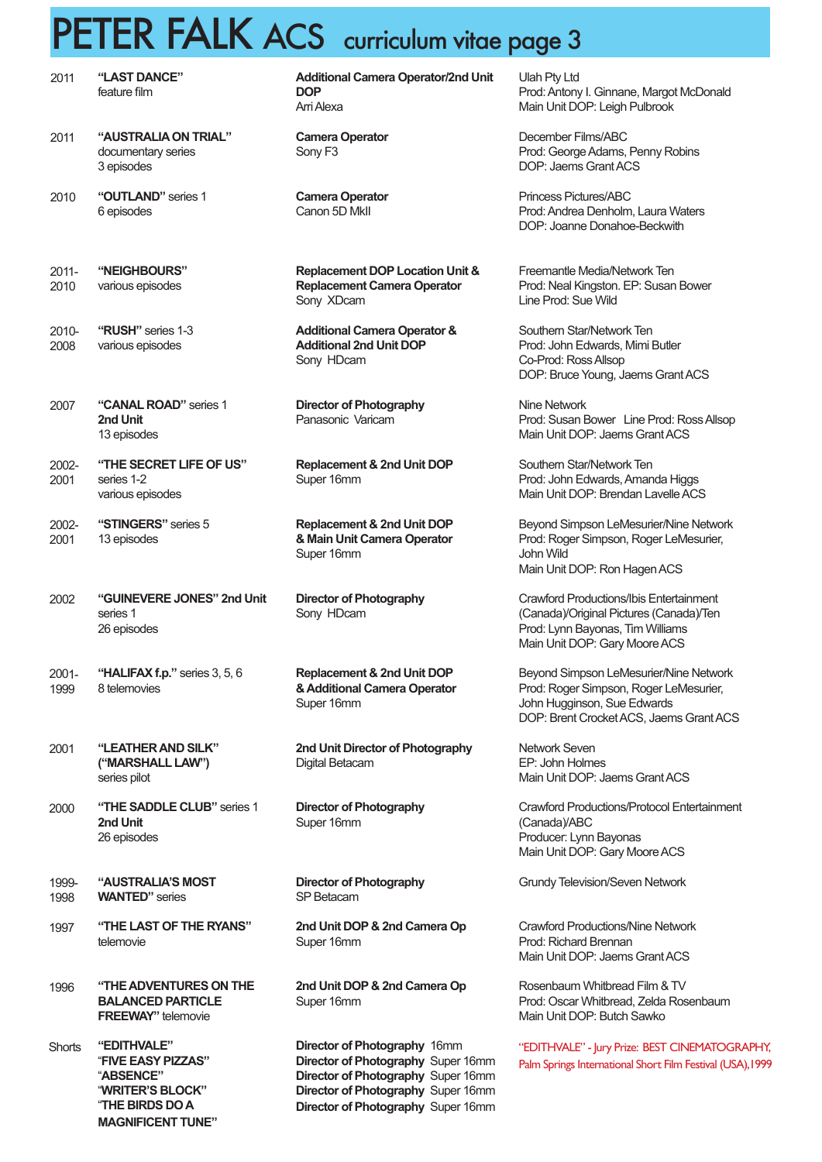### PETER FALK ACS curriculum vitae page 3

| 2011          | "LAST DANCE"<br>feature film                                                                                      |
|---------------|-------------------------------------------------------------------------------------------------------------------|
| 2011          | "AUSTRALIA ON TRIAL"<br>documentary series<br>3 episodes                                                          |
| 2010          | "OUTLAND" series 1<br>6 episodes                                                                                  |
| 2011-<br>2010 | "NEIGHBOURS"<br>various episodes                                                                                  |
| 2010-<br>2008 | "RUSH" series 1-3<br>various episodes                                                                             |
| 2007          | "CANAL ROAD" series 1<br>2nd Unit<br>13 episodes                                                                  |
| 2002-<br>2001 | "THE SECRET LIFE OF US"<br>series 1-2<br>various episodes                                                         |
| 2002-<br>2001 | "STINGERS" series 5<br>13 episodes                                                                                |
| 2002          | "GUINEVERE JONES" 2nd Unit<br>series 1<br>26 episodes                                                             |
| 2001-<br>1999 | "HALIFAX f.p." series 3, 5, 6<br>8 telemovies                                                                     |
| 2001          | "LEATHER AND SILK"<br>("MARSHALL LAW")<br>series pilot                                                            |
| 2000          | "THE SADDLE CLUB" series 1<br>2nd Unit<br>26 episodes                                                             |
| 1999-<br>1998 | "AUSTRALIA'S MOST<br><b>WANTED"</b> series                                                                        |
| 1997          | "THE LAST OF THE RYANS"<br>telemovie                                                                              |
| 1996          | "THE ADVENTURES ON THE<br><b>BALANCED PARTICLE</b><br><b>FREEWAY"</b> telemovie                                   |
| <b>Shorts</b> | "EDITHVALE"<br>"FIVE EASY PIZZAS"<br>"ABSENCE"<br>"WRITER'S BLOCK"<br>"THE BIRDS DO A<br><b>MAGNIFICENT TUNE"</b> |

|                                                                                                | <u>ື່ປ</u>                                                                                                        |
|------------------------------------------------------------------------------------------------|-------------------------------------------------------------------------------------------------------------------|
| <b>Additional Camera Operator/2nd Unit</b><br><b>DOP</b><br>Arri Alexa                         | Ulah Pty Ltd<br>Prod: Antony I. Ginnane,<br>Main Unit DOP: Leigh Pu                                               |
| <b>Camera Operator</b><br>Sony F <sub>3</sub>                                                  | December Films/ABC<br>Prod: George Adams, Pe<br>DOP: Jaems Grant ACS                                              |
| <b>Camera Operator</b><br>Canon 5D MkII                                                        | Princess Pictures/ABC<br>Prod: Andrea Denholm, I<br>DOP: Joanne Donahoe-                                          |
| <b>Replacement DOP Location Unit &amp;</b><br><b>Replacement Camera Operator</b><br>Sony XDcam | Freemantle Media/Netwo<br>Prod: Neal Kingston. EP:<br>Line Prod: Sue Wild                                         |
| <b>Additional Camera Operator &amp;</b><br><b>Additional 2nd Unit DOP</b><br>Sony HDcam        | Southern Star/Network T<br>Prod: John Edwards, Mir<br>Co-Prod: Ross Allsop<br>DOP: Bruce Young, Jaer              |
| <b>Director of Photography</b><br>Panasonic Varicam                                            | Nine Network<br>Prod: Susan Bower Line<br>Main Unit DOP: Jaems (                                                  |
| <b>Replacement &amp; 2nd Unit DOP</b><br>Super 16mm                                            | Southern Star/Network T<br>Prod: John Edwards, Am<br>Main Unit DOP: Brendar                                       |
| <b>Replacement &amp; 2nd Unit DOP</b><br>& Main Unit Camera Operator<br>Super 16mm             | <b>Beyond Simpson LeMes</b><br>Prod: Roger Simpson, R<br>John Wild<br>Main Unit DOP: Ron Hag                      |
| <b>Director of Photography</b><br>Sony HDcam                                                   | <b>Crawford Productions/Ibi</b><br>(Canada)/Original Picture<br>Prod: Lynn Bayonas, Tim<br>Main Unit DOP: Gary Mo |
| <b>Replacement &amp; 2nd Unit DOP</b><br>& Additional Camera Operator<br>Super 16mm            | <b>Beyond Simpson LeMes</b><br>Prod: Roger Simpson, R<br>John Hugginson, Sue Ed<br>DOP: Brent Crocket ACS         |
| 2nd Unit Director of Photography<br>Digital Betacam                                            | Network Seven<br>EP: John Holmes<br>Main Unit DOP: Jaems (                                                        |
| <b>Director of Photography</b><br>Super 16mm                                                   | <b>Crawford Productions/Pr</b><br>(Canada)/ABC<br>Producer: Lynn Bayonas<br>Main Unit DOP: Gary Mo                |
| <b>Director of Photography</b><br>SP Betacam                                                   | <b>Grundy Television/Sever</b>                                                                                    |
| 2nd Unit DOP & 2nd Camera Op<br>Super 16mm                                                     | <b>Crawford Productions/Ni</b><br>Prod: Richard Brennan<br>Main Unit DOP: Jaems O                                 |
| 2nd Unit DOP & 2nd Camera Op<br>Super 16mm                                                     | Rosenbaum Whitbread F<br>Prod: Oscar Whitbread, 2<br>Main Unit DOP: Butch Sa                                      |

**Director of Photography** 16mm **Director of Photography** Super 16mm **Director of Photography** Super 16mm **Director of Photography** Super 16mm **Director of Photography** Super 16mm

Margot McDonald ulbrook

enny Robins

**Product Andrews Beckwith** 

ork Ten **Susan Bower** 

Southern Star/Network Ten mi Butler ms Grant ACS

e Prod: Ross Allsop Grant ACS

Southern Star/Network Ten nanda Higgs n Lavelle ACS

surier/Nine Network Poder LeMesurier, gen ACS

is Entertainment es (Canada)/Ten n Williams oore ACS

surier/Nine Network Roger LeMesurier, dwards S, Jaems Grant ACS

**Grant ACS** 

rotocol Entertainment ore ACS

n Network

ine Network Grant ACS

Film & TV Zelda Rosenbaum Unit DOP: Butch Sawko

"EDITHVALE" - Jury Prize: BEST CINEMATOGRAPHY, Palm Springs International Short Film Festival (USA),1999